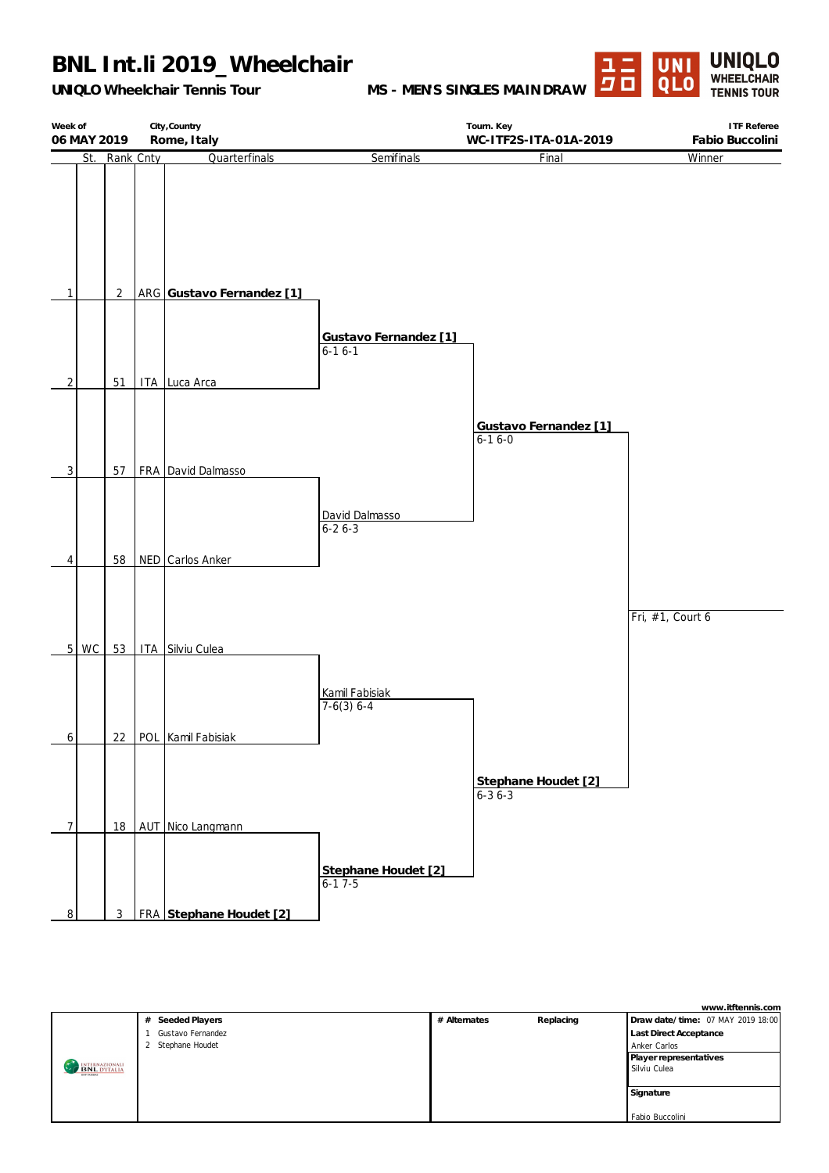## **BNL Int.li 2019\_Wheelchair**

*UNIQLO Wheelchair Tennis Tour*

**MS - MEN'S SINGLES MAINDRAW**



| Week of<br>06 MAY 2019 |                | City, Country<br>Rome, Italy           |                                   | Tourn. Key<br>WC-ITF2S-ITA-01A-2019   | <b>ITF</b> Referee<br>Fabio Buccolini |
|------------------------|----------------|----------------------------------------|-----------------------------------|---------------------------------------|---------------------------------------|
|                        | St. Rank Cnty  | Quarterfinals                          | Semifinals                        | Final                                 | Winner                                |
| 1                      | $\overline{2}$ | ARG Gustavo Fernandez [1]              |                                   |                                       |                                       |
| $\overline{2}$         | 51             | ITA Luca Arca                          | Gustavo Fernandez [1]<br>$6-16-1$ |                                       |                                       |
|                        |                |                                        |                                   | Gustavo Fernandez [1]<br>$6 - 16 - 0$ |                                       |
| $\overline{3}$<br>4    | 57<br>58       | FRA David Dalmasso<br>NED Carlos Anker | David Dalmasso<br>$6 - 26 - 3$    |                                       |                                       |
| $5 \mid WC$            | 53             | ITA Silviu Culea                       |                                   |                                       | Fri, #1, Court 6                      |
| 6                      |                | 22   POL   Kamil Fabisiak              | Kamil Fabisiak<br>$7-6(3) 6-4$    |                                       |                                       |
| $\overline{7}$         | 18             | AUT Nico Langmann                      |                                   | Stephane Houdet [2]<br>$6 - 36 - 3$   |                                       |
| $\bf{8}$               | $\mathbf{3}$   | FRA Stephane Houdet [2]                | Stephane Houdet [2]<br>$6-17-5$   |                                       |                                       |

|                                       |                   |              |           | www.itftennis.com                 |
|---------------------------------------|-------------------|--------------|-----------|-----------------------------------|
|                                       | # Seeded Players  | # Alternates | Replacing | Draw date/time: 07 MAY 2019 18:00 |
|                                       | Gustavo Fernandez |              |           | <b>Last Direct Acceptance</b>     |
|                                       | 2 Stephane Houdet |              |           | Anker Carlos                      |
|                                       |                   |              |           | Player representatives            |
| INTERNAZIONALI<br><b>BNL</b> D'ITALIA |                   |              |           | Silviu Culea                      |
|                                       |                   |              |           |                                   |
|                                       |                   |              |           | Signature                         |
|                                       |                   |              |           |                                   |
|                                       |                   |              |           | Fabio Buccolini                   |